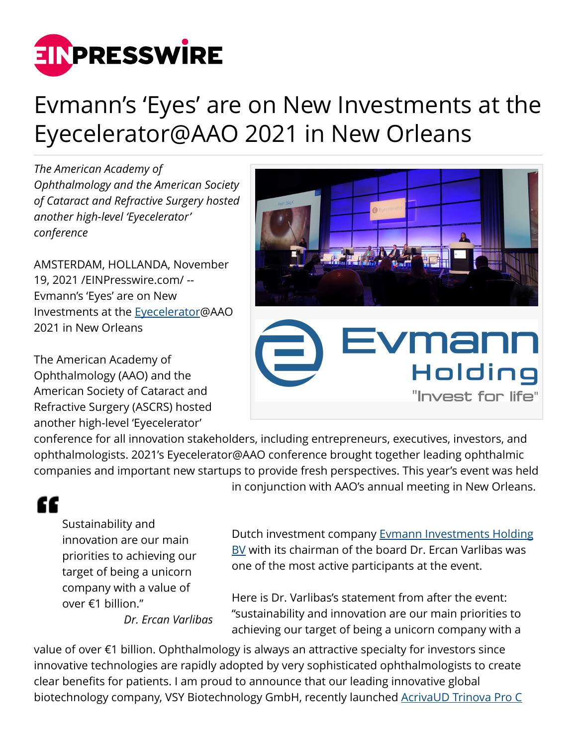

## Evmann's 'Eyes' are on New Investments at the Eyecelerator@AAO 2021 in New Orleans

*The American Academy of Ophthalmology and the American Society of Cataract and Refractive Surgery hosted another high-level 'Eyecelerator' conference*

AMSTERDAM, HOLLANDA, November 19, 2021 /[EINPresswire.com/](http://www.einpresswire.com) -- Evmann's 'Eyes' are on New Investments at the [Eyecelerator](https://www.eyecelerator.com/)@AAO 2021 in New Orleans

The American Academy of Ophthalmology (AAO) and the American Society of Cataract and Refractive Surgery (ASCRS) hosted another high-level 'Eyecelerator'



conference for all innovation stakeholders, including entrepreneurs, executives, investors, and ophthalmologists. 2021's Eyecelerator@AAO conference brought together leading ophthalmic companies and important new startups to provide fresh perspectives. This year's event was held in conjunction with AAO's annual meeting in New Orleans.

## ££

Sustainability and innovation are our main priorities to achieving our target of being a unicorn company with a value of over €1 billion."

*Dr. Ercan Varlibas*

Dutch investment company [Evmann Investments Holding](https://www.evmann.nl/) [BV](https://www.evmann.nl/) with its chairman of the board Dr. Ercan Varlibas was one of the most active participants at the event.

Here is Dr. Varlibas's statement from after the event: "sustainability and innovation are our main priorities to achieving our target of being a unicorn company with a

value of over €1 billion. Ophthalmology is always an attractive specialty for investors since innovative technologies are rapidly adopted by very sophisticated ophthalmologists to create clear benefits for patients. I am proud to announce that our leading innovative global biotechnology company, VSY Biotechnology GmbH, recently launched [AcrivaUD Trinova Pro C](https://www.vsybiotechnology.com/detail/about/news/vsy-biotechnology-launched-acrivaud-trinova-pro-c-pupil-adaptive-at-escrs-2021-in-amsterdam)